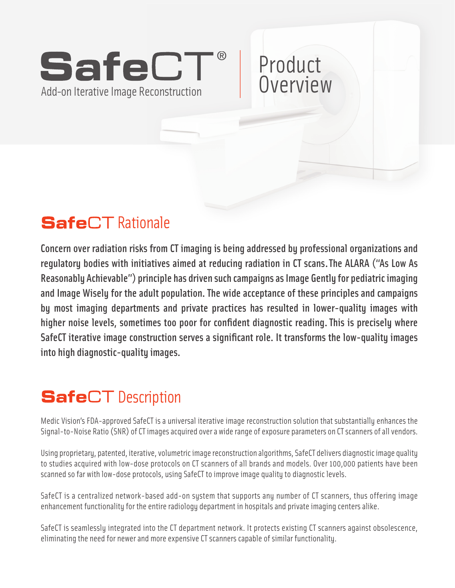# **®** Add-on Iterative Image Reconstruction econstruction<br>Product<br>Product<br>Product<br>Product<br>Product

# Rationale

Concern over radiation risks from CT imaging is being addressed by professional organizations and regulatory bodies with initiatives aimed at reducing radiation in CT scans. The ALARA ("As Low As Reasonably Achievable") principle has driven such campaigns as Image Gently for pediatric imaging and Image Wisely for the adult population. The wide acceptance of these principles and campaigns by most imaging departments and private practices has resulted in lower-quality images with higher noise levels, sometimes too poor for confident diagnostic reading. This is precisely where SafeCT iterative image construction serves a significant role. It transforms the low-quality images into high diagnostic-quality images.

**Overview** 

# **SafeCT** Description

Medic Vision's FDA-approved SafeCT is a universal iterative image reconstruction solution that substantially enhances the Signal-to-Noise Ratio (SNR) of CT images acquired over a wide range of exposure parameters on CT scanners of all vendors.

Using proprietary, patented, iterative, volumetric image reconstruction algorithms, SafeCT delivers diagnostic image quality to studies acquired with low-dose protocols on CT scanners of all brands and models. Over 100,000 patients have been scanned so far with low-dose protocols, using SafeCT to improve image quality to diagnostic levels.

SafeCT is a centralized network-based add-on system that supports any number of CT scanners, thus offering image enhancement functionality for the entire radiology department in hospitals and private imaging centers alike.

SafeCT is seamlessly integrated into the CT department network. It protects existing CT scanners against obsolescence, eliminating the need for newer and more expensive CT scanners capable of similar functionality.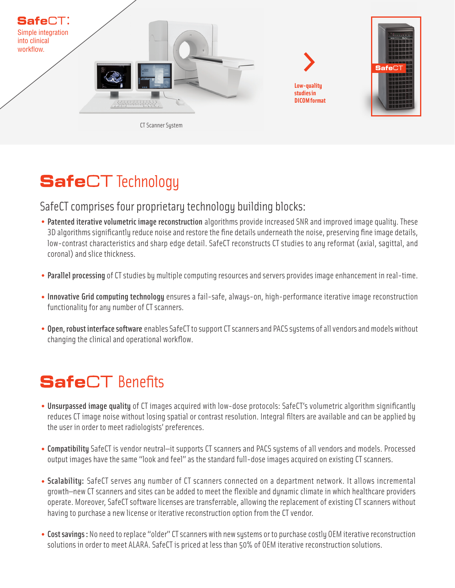

#### **SafeCT** Technology

#### SafeCT comprises four proprietary technology building blocks:

- Patented iterative volumetric image reconstruction algorithms provide increased SNR and improved image quality. These 3D algorithms significantly reduce noise and restore the fine details underneath the noise, preserving fine image details, low-contrast characteristics and sharp edge detail. SafeCT reconstructs CT studies to any reformat (axial, sagittal, and coronal) and slice thickness.
- Parallel processing of CT studies by multiple computing resources and servers provides image enhancement in real-time.
- Innovative Grid computing technology ensures a fail-safe, always-on, high-performance iterative image reconstruction functionality for any number of CT scanners.
- Open, robust interface software enables SafeCT to support CT scanners and PACS systems of all vendors and models without changing the clinical and operational workflow.

## **SafeCT** Benefits

- Unsurpassed image quality of CT images acquired with low-dose protocols: SafeCT's volumetric algorithm significantly reduces CT image noise without losing spatial or contrast resolution. Integral filters are available and can be applied by the user in order to meet radiologists' preferences.
- Compatibility SafeCT is vendor neutral—it supports CT scanners and PACS systems of all vendors and models. Processed output images have the same "look and feel" as the standard full-dose images acquired on existing CT scanners.
- Scalability: SafeCT serves any number of CT scanners connected on a department network. It allows incremental growth—new CT scanners and sites can be added to meet the flexible and dynamic climate in which healthcare providers operate. Moreover, SafeCT software licenses are transferrable, allowing the replacement of existing CT scanners without having to purchase a new license or iterative reconstruction option from the CT vendor.
- Cost savings : No need to replace "older" CT scanners with new systems or to purchase costly OEM iterative reconstruction solutions in order to meet ALARA. SafeCT is priced at less than 50% of OEM iterative reconstruction solutions.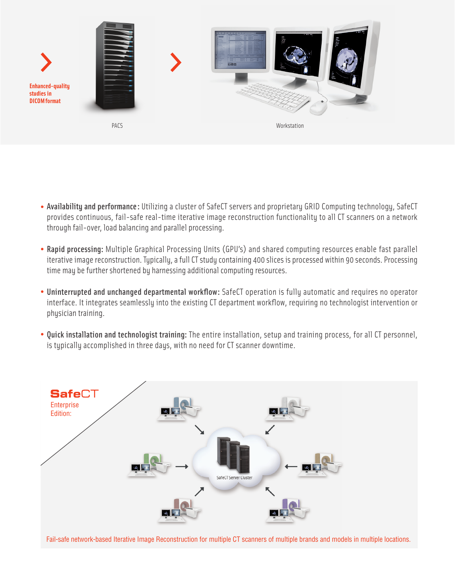

- Availability and performance: Utilizing a cluster of SafeCT servers and proprietary GRID Computing technology, SafeCT provides continuous, fail-safe real-time iterative image reconstruction functionality to all CT scanners on a network through fail-over, load balancing and parallel processing.
- Rapid processing: Multiple Graphical Processing Units (GPU's) and shared computing resources enable fast parallel iterative image reconstruction. Typically, a full CT study containing 400 slices is processed within 90 seconds. Processing time may be further shortened by harnessing additional computing resources.
- Uninterrupted and unchanged departmental workflow: SafeCT operation is fully automatic and requires no operator interface. It integrates seamlessly into the existing CT department workflow, requiring no technologist intervention or physician training.
- Quick installation and technologist training: The entire installation, setup and training process, for all CT personnel, is typically accomplished in three days, with no need for CT scanner downtime.



Fail-safe network-based Iterative Image Reconstruction for multiple CT scanners of multiple brands and models in multiple locations.